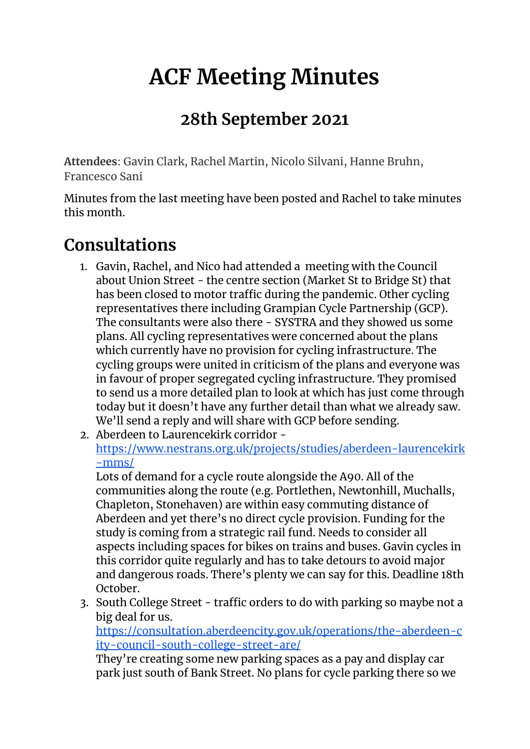# **ACF Meeting Minutes**

#### **28th September 2021**

**Attendees**: Gavin Clark, Rachel Martin, Nicolo Silvani, Hanne Bruhn, Francesco Sani

Minutes from the last meeting have been posted and Rachel to take minutes this month.

#### **Consultations**

- 1. Gavin, Rachel, and Nico had attended a meeting with the Council about Union Street - the centre section (Market St to Bridge St) that has been closed to motor traffic during the pandemic. Other cycling representatives there including Grampian Cycle Partnership (GCP). The consultants were also there - SYSTRA and they showed us some plans. All cycling representatives were concerned about the plans which currently have no provision for cycling infrastructure. The cycling groups were united in criticism of the plans and everyone was in favour of proper segregated cycling infrastructure. They promised to send us a more detailed plan to look at which has just come through today but it doesn't have any further detail than what we already saw. We'll send a reply and will share with GCP before sending.
- 2. Aberdeen to Laurencekirk corridor [https://www.nestrans.org.uk/projects/studies/aberdeen-laurencekirk](https://www.nestrans.org.uk/projects/studies/aberdeen-laurencekirk-mms/) [-mms/](https://www.nestrans.org.uk/projects/studies/aberdeen-laurencekirk-mms/)

Lots of demand for a cycle route alongside the A90. All of the communities along the route (e.g. Portlethen, Newtonhill, Muchalls, Chapleton, Stonehaven) are within easy commuting distance of Aberdeen and yet there's no direct cycle provision. Funding for the study is coming from a strategic rail fund. Needs to consider all aspects including spaces for bikes on trains and buses. Gavin cycles in this corridor quite regularly and has to take detours to avoid major and dangerous roads. There's plenty we can say for this. Deadline 18th October.

3. South College Street - traffic orders to do with parking so maybe not a big deal for us.

[https://consultation.aberdeencity.gov.uk/operations/the-aberdeen-c](https://consultation.aberdeencity.gov.uk/operations/the-aberdeen-city-council-south-college-street-are/) [ity-council-south-college-street-are/](https://consultation.aberdeencity.gov.uk/operations/the-aberdeen-city-council-south-college-street-are/)

They're creating some new parking spaces as a pay and display car park just south of Bank Street. No plans for cycle parking there so we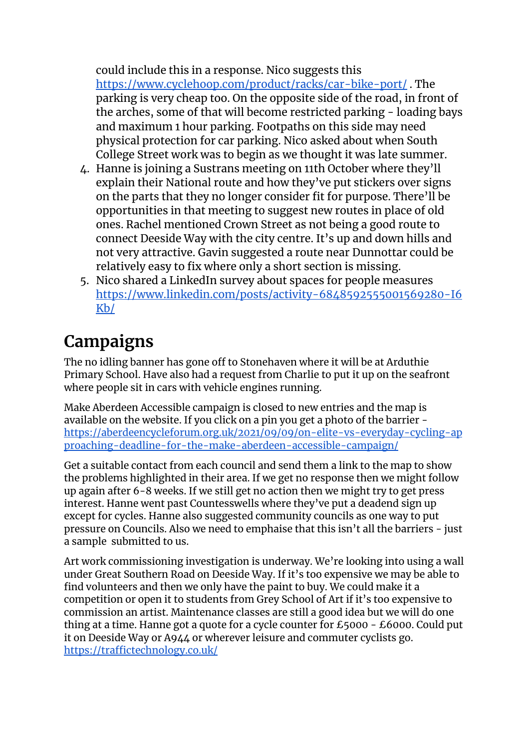could include this in a response. Nico suggests this <https://www.cyclehoop.com/product/racks/car-bike-port/> . The parking is very cheap too. On the opposite side of the road, in front of the arches, some of that will become restricted parking - loading bays and maximum 1 hour parking. Footpaths on this side may need physical protection for car parking. Nico asked about when South College Street work was to begin as we thought it was late summer.

- 4. Hanne is joining a Sustrans meeting on 11th October where they'll explain their National route and how they've put stickers over signs on the parts that they no longer consider fit for purpose. There'll be opportunities in that meeting to suggest new routes in place of old ones. Rachel mentioned Crown Street as not being a good route to connect Deeside Way with the city centre. It's up and down hills and not very attractive. Gavin suggested a route near Dunnottar could be relatively easy to fix where only a short section is missing.
- 5. Nico shared a LinkedIn survey about spaces for people measures [https://www.linkedin.com/posts/activity-6848592555001569280-I6](https://www.linkedin.com/posts/activity-6848592555001569280-I6Kb/) [Kb/](https://www.linkedin.com/posts/activity-6848592555001569280-I6Kb/)

## **Campaigns**

The no idling banner has gone off to Stonehaven where it will be at Arduthie Primary School. Have also had a request from Charlie to put it up on the seafront where people sit in cars with vehicle engines running.

Make Aberdeen Accessible campaign is closed to new entries and the map is available on the website. If you click on a pin you get a photo of the barrier [https://aberdeencycleforum.org.uk/2021/09/09/on-elite-vs-everyday-cycling-ap](https://aberdeencycleforum.org.uk/2021/09/09/on-elite-vs-everyday-cycling-approaching-deadline-for-the-make-aberdeen-accessible-campaign/) [proaching-deadline-for-the-make-aberdeen-accessible-campaign/](https://aberdeencycleforum.org.uk/2021/09/09/on-elite-vs-everyday-cycling-approaching-deadline-for-the-make-aberdeen-accessible-campaign/)

Get a suitable contact from each council and send them a link to the map to show the problems highlighted in their area. If we get no response then we might follow up again after 6-8 weeks. If we still get no action then we might try to get press interest. Hanne went past Countesswells where they've put a deadend sign up except for cycles. Hanne also suggested community councils as one way to put pressure on Councils. Also we need to emphaise that this isn't all the barriers - just a sample submitted to us.

Art work commissioning investigation is underway. We're looking into using a wall under Great Southern Road on Deeside Way. If it's too expensive we may be able to find volunteers and then we only have the paint to buy. We could make it a competition or open it to students from Grey School of Art if it's too expensive to commission an artist. Maintenance classes are still a good idea but we will do one thing at a time. Hanne got a quote for a cycle counter for £5000 - £6000. Could put it on Deeside Way or A944 or wherever leisure and commuter cyclists go. <https://traffictechnology.co.uk/>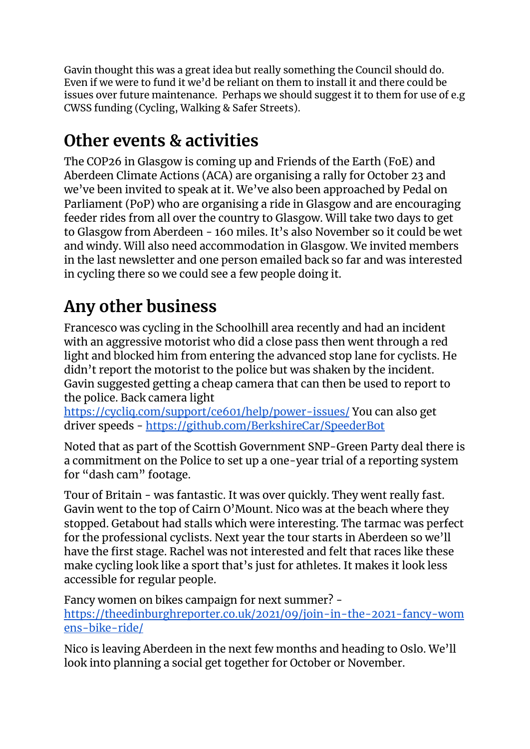Gavin thought this was a great idea but really something the Council should do. Even if we were to fund it we'd be reliant on them to install it and there could be issues over future maintenance. Perhaps we should suggest it to them for use of e.g CWSS funding (Cycling, Walking & Safer Streets).

### **Other events & activities**

The COP26 in Glasgow is coming up and Friends of the Earth (FoE) and Aberdeen Climate Actions (ACA) are organising a rally for October 23 and we've been invited to speak at it. We've also been approached by Pedal on Parliament (PoP) who are organising a ride in Glasgow and are encouraging feeder rides from all over the country to Glasgow. Will take two days to get to Glasgow from Aberdeen - 160 miles. It's also November so it could be wet and windy. Will also need accommodation in Glasgow. We invited members in the last newsletter and one person emailed back so far and was interested in cycling there so we could see a few people doing it.

## **Any other business**

Francesco was cycling in the Schoolhill area recently and had an incident with an aggressive motorist who did a close pass then went through a red light and blocked him from entering the advanced stop lane for cyclists. He didn't report the motorist to the police but was shaken by the incident. Gavin suggested getting a cheap camera that can then be used to report to the police. Back camera light

<https://cycliq.com/support/ce601/help/power-issues/> You can also get driver speeds - <https://github.com/BerkshireCar/SpeederBot>

Noted that as part of the Scottish Government SNP-Green Party deal there is a commitment on the Police to set up a one-year trial of a reporting system for "dash cam" footage.

Tour of Britain - was fantastic. It was over quickly. They went really fast. Gavin went to the top of Cairn O'Mount. Nico was at the beach where they stopped. Getabout had stalls which were interesting. The tarmac was perfect for the professional cyclists. Next year the tour starts in Aberdeen so we'll have the first stage. Rachel was not interested and felt that races like these make cycling look like a sport that's just for athletes. It makes it look less accessible for regular people.

Fancy women on bikes campaign for next summer? [https://theedinburghreporter.co.uk/2021/09/join-in-the-2021-fancy-wom](https://theedinburghreporter.co.uk/2021/09/join-in-the-2021-fancy-womens-bike-ride/) [ens-bike-ride/](https://theedinburghreporter.co.uk/2021/09/join-in-the-2021-fancy-womens-bike-ride/)

Nico is leaving Aberdeen in the next few months and heading to Oslo. We'll look into planning a social get together for October or November.